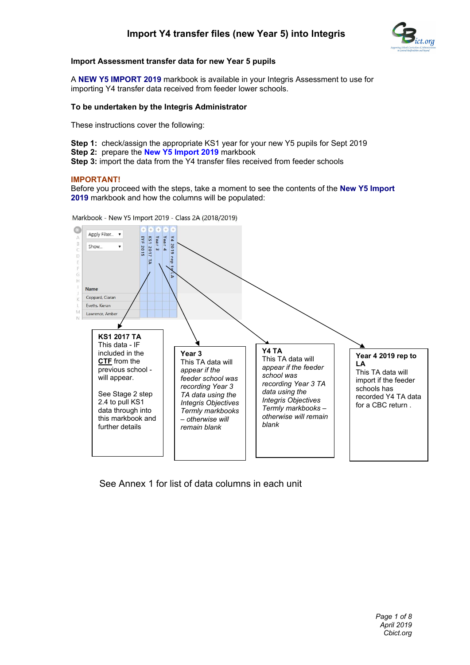

## **Import Assessment transfer data for new Year 5 pupils**

A **NEW Y5 IMPORT 2019** markbook is available in your Integris Assessment to use for importing Y4 transfer data received from feeder lower schools.

## **To be undertaken by the Integris Administrator**

These instructions cover the following:

**Step 1:** check/assign the appropriate KS1 year for your new Y5 pupils for Sept 2019 **Step 2:** prepare the **New Y5 Import 2019** markbook

**Step 3:** import the data from the Y4 transfer files received from feeder schools

## **IMPORTANT!**

Before you proceed with the steps, take a moment to see the contents of the **New Y5 Import 2019** markbook and how the columns will be populated:

Markbook - New Y5 Import 2019 - Class 2A (2018/2019)



See Annex 1 for list of data columns in each unit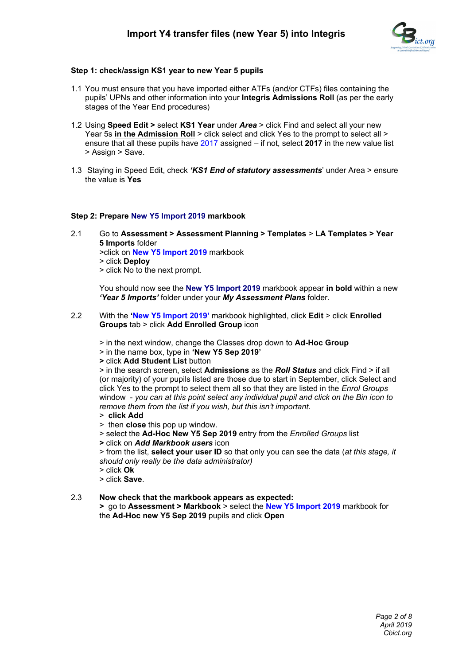

## **Step 1: check/assign KS1 year to new Year 5 pupils**

- 1.1 You must ensure that you have imported either ATFs (and/or CTFs) files containing the pupils' UPNs and other information into your **Integris Admissions Roll** (as per the early stages of the Year End procedures)
- 1.2 Using **Speed Edit >** select **KS1 Year** under *Area* > click Find and select all your new Year 5s in the Admission Roll > click select and click Yes to the prompt to select all > ensure that all these pupils have 2017 assigned – if not, select **2017** in the new value list > Assign > Save.
- 1.3 Staying in Speed Edit, check *'KS1 End of statutory assessments*' under Area > ensure the value is **Yes**

## **Step 2: Prepare New Y5 Import 2019 markbook**

2.1 Go to **Assessment > Assessment Planning > Templates** > **LA Templates > Year 5 Imports** folder >click on **New Y5 Import 2019** markbook > click **Deploy** > click No to the next prompt.

You should now see the **New Y5 Import 2019** markbook appear **in bold** within a new *'Year 5 Imports'* folder under your *My Assessment Plans* folder.

2.2 With the **'New Y5 Import 2019'** markbook highlighted, click **Edit** > click **Enrolled Groups** tab > click **Add Enrolled Group** icon

> in the next window, change the Classes drop down to **Ad-Hoc Group**

- > in the name box, type in **'New Y5 Sep 2019'**
- **>** click **Add Student List** button

> in the search screen, select **Admissions** as the *Roll Status* and click Find > if all (or majority) of your pupils listed are those due to start in September, click Select and click Yes to the prompt to select them all so that they are listed in the *Enrol Groups*  window - *you can at this point select any individual pupil and click on the Bin icon to remove them from the list if you wish, but this isn't important.*

- > **click Add**
- > then **close** this pop up window.
- > select the **Ad-Hoc New Y5 Sep 2019** entry from the *Enrolled Groups* list
- **>** click on *Add Markbook users* icon

> from the list, **select your user ID** so that only you can see the data (*at this stage, it should only really be the data administrator)* 

- > click **Ok**
- > click **Save**.

# 2.3 **Now check that the markbook appears as expected:**

**>** go to **Assessment > Markbook** > select the **New Y5 Import 2019** markbook for the **Ad-Hoc new Y5 Sep 2019** pupils and click **Open**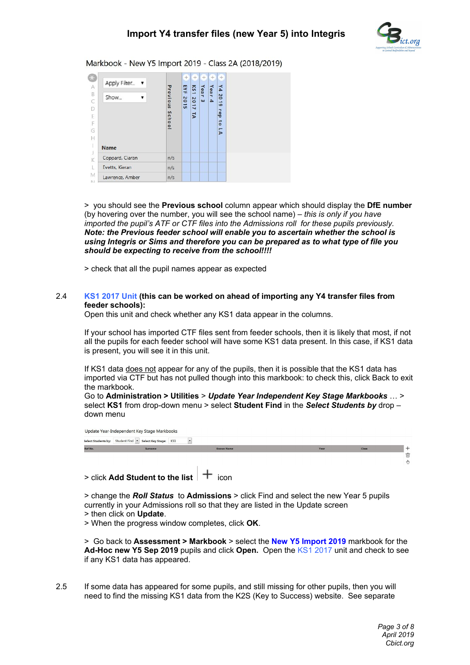

Markbook - New Y5 Import 2019 - Class 2A (2018/2019)

| Apply Filter<br>$\overline{\mathbf{v}}$ |                    | $^{+}$<br>EYE | <b>KS1</b>             | ÷<br>Yea      |                          | $+$<br>γ4                                     |  |
|-----------------------------------------|--------------------|---------------|------------------------|---------------|--------------------------|-----------------------------------------------|--|
| Show                                    | Previous<br>School | 2015          | 2017<br>$\overline{r}$ | ۰<br>$\omega$ | Year<br>$\blacktriangle$ | <b>DO</b><br>∸<br>$\bullet$<br>rep<br>to<br>5 |  |
| <b>Name</b>                             |                    |               |                        |               |                          |                                               |  |
| Coppard, Ciaran                         | n/s                |               |                        |               |                          |                                               |  |
| Evetts, Kieran                          | n/s                |               |                        |               |                          |                                               |  |
| Lawrence, Amber                         | n/s                |               |                        |               |                          |                                               |  |

> you should see the **Previous school** column appear which should display the **DfE number** (by hovering over the number, you will see the school name) – *this is only if you have imported the pupil's ATF or CTF files into the Admissions roll for these pupils previously. Note: the Previous feeder school will enable you to ascertain whether the school is using Integris or Sims and therefore you can be prepared as to what type of file you should be expecting to receive from the school!!!!* 

> check that all the pupil names appear as expected

#### 2.4 **KS1 2017 Unit (this can be worked on ahead of importing any Y4 transfer files from feeder schools):**

Open this unit and check whether any KS1 data appear in the columns.

If your school has imported CTF files sent from feeder schools, then it is likely that most, if not all the pupils for each feeder school will have some KS1 data present. In this case, if KS1 data is present, you will see it in this unit.

If KS1 data does not appear for any of the pupils, then it is possible that the KS1 data has imported via CTF but has not pulled though into this markbook: to check this, click Back to exit the markbook.

Go to **Administration > Utilities** > *Update Year Independent Key Stage Markbooks* … > select **KS1** from drop-down menu > select **Student Find** in the *Select Students by* drop – down menu

Update Year-Independent Key Stage Markbooks Select Students by: Student Find T Select Key Stage: KS1  $\overline{\phantom{a}}$ 

 $>$  click Add Student to the list

> change the *Roll Status* to **Admissions** > click Find and select the new Year 5 pupils currently in your Admissions roll so that they are listed in the Update screen

> then click on **Update**.

> When the progress window completes, click **OK**.

> Go back to **Assessment > Markbook** > select the **New Y5 Import 2019** markbook for the **Ad-Hoc new Y5 Sep 2019** pupils and click **Open.** Open the KS1 2017 unit and check to see if any KS1 data has appeared.

2.5 If some data has appeared for some pupils, and still missing for other pupils, then you will need to find the missing KS1 data from the K2S (Key to Success) website. See separate

何  $(1)$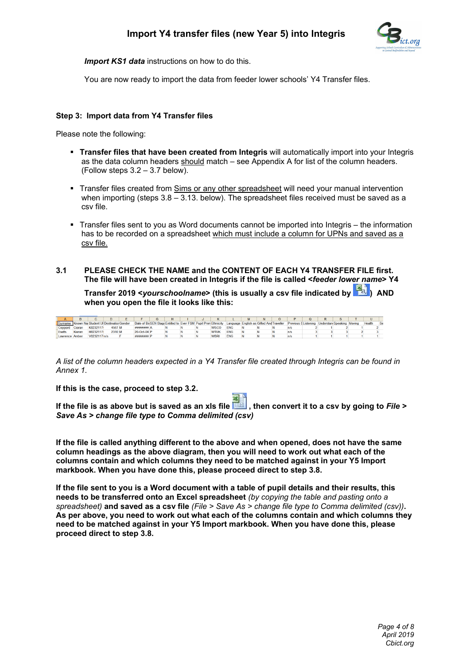

**Import KS1 data** instructions on how to do this.

You are now ready to import the data from feeder lower schools' Y4 Transfer files.

## **Step 3: Import data from Y4 Transfer files**

Please note the following:

- **Transfer files that have been created from Integris** will automatically import into your Integris as the data column headers should match – see Appendix A for list of the column headers. (Follow steps 3.2 – 3.7 below).
- Transfer files created from Sims or any other spreadsheet will need your manual intervention when importing (steps  $3.8 - 3.13$ , below). The spreadsheet files received must be saved as a csv file.
- Transfer files sent to you as Word documents cannot be imported into Integris the information has to be recorded on a spreadsheet which must include a column for UPNs and saved as a csv file.
- **3.1 PLEASE CHECK THE NAME and the CONTENT OF EACH Y4 TRANSFER FILE first. The file will have been created in Integris if the file is called <***feeder lower name***> Y4**

**Transfer 2019 <***yourschoolname***> (this is usually a csv file indicated by ) AND when you open the file it looks like this:**

|                       |        |                                                 |        |                   | н                                                               |  |             |                                          | м |  |                            |                           |        |        |      |
|-----------------------|--------|-------------------------------------------------|--------|-------------------|-----------------------------------------------------------------|--|-------------|------------------------------------------|---|--|----------------------------|---------------------------|--------|--------|------|
|                       |        | Surname Known Nai Student Uf Destination Gender |        |                   | Date of Bir SEN Stage Entitled to Ever FSM Pupil Pren Ethnicity |  |             | Language English as Gifted And Traveller |   |  | <b>Previous SListening</b> | <b>Understan Speaking</b> | Moving | Health | - Se |
| Coppard               | Ciaran | K8232117                                        | 4567 M | <b>########</b> A |                                                                 |  | <b>WSCO</b> | <b>FNG</b>                               |   |  | IV S                       |                           |        |        |      |
| <b>Evetts</b>         | Kieran | H8232117                                        | 2310 M | 20-Oct-04 P       |                                                                 |  | <b>WTUK</b> | <b>ENG</b>                               |   |  |                            |                           |        |        |      |
| <b>Lawrence Amber</b> |        | V8232117 n/s                                    |        | ######## F        |                                                                 |  | <b>WBRI</b> | <b>FNG</b>                               |   |  |                            |                           |        |        |      |
|                       |        |                                                 |        |                   |                                                                 |  |             |                                          |   |  |                            |                           |        |        |      |

*A list of the column headers expected in a Y4 Transfer file created through Integris can be found in Annex 1.*

**If this is the case, proceed to step 3.2.**

**If the file is as above but is saved as an xls file , then convert it to a csv by going to** *File > Save As > change file type to Comma delimited (csv)*

**If the file is called anything different to the above and when opened, does not have the same column headings as the above diagram, then you will need to work out what each of the columns contain and which columns they need to be matched against in your Y5 Import markbook. When you have done this, please proceed direct to step 3.8.**

**If the file sent to you is a Word document with a table of pupil details and their results, this needs to be transferred onto an Excel spreadsheet** *(by copying the table and pasting onto a spreadsheet)* **and saved as a csv file** *(File > Save As > change file type to Comma delimited (csv))***. As per above, you need to work out what each of the columns contain and which columns they need to be matched against in your Y5 Import markbook. When you have done this, please proceed direct to step 3.8.**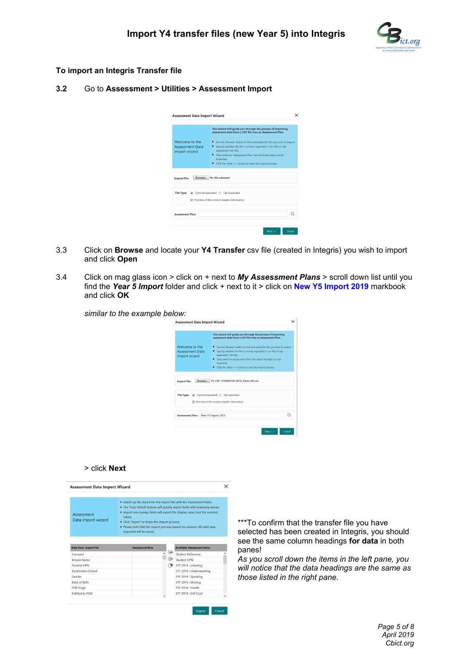

#### **To import an Integris Transfer file**

#### **3.2** Go to **Assessment > Utilities > Assessment Import**

|                                                           | This wizard will quide you through the process of importing<br>assessment data from a CSV file into an Assessment Plan.                                                                                                                                                                                              |
|-----------------------------------------------------------|----------------------------------------------------------------------------------------------------------------------------------------------------------------------------------------------------------------------------------------------------------------------------------------------------------------------|
| Welcome to the<br><b>Assessment Data</b><br>import wizard | • Use the 'Browse' button to find and select the file you wish to import.<br>• Specify whether the file is comma separated (*.csv file) or tab<br>separated (*.txt file).<br>. Then select an Assessment Plan into which the data is to be<br>imported.<br>• Click the 'Next >>' button to start the import process. |
| Browse<br><b>Import File:</b>                             | No file selected                                                                                                                                                                                                                                                                                                     |
|                                                           | File Type: @ Comma Separated @ Tab Separated<br>First line of file contains header information                                                                                                                                                                                                                       |
|                                                           | O                                                                                                                                                                                                                                                                                                                    |

- 3.3 Click on **Browse** and locate your **Y4 Transfer** csv file (created in Integris) you wish to import and click **Open**
- 3.4 Click on mag glass icon > click on + next to *My Assessment Plans* > scroll down list until you find the *Year 5 Import* folder and click + next to it > click on **New Y5 Import 2019** markbook and click **OK**

| <b>Assessment Data Import Wizard</b>                      | $\times$                                                                                                                                                                                                                                                                                                                                                                                                                                      |
|-----------------------------------------------------------|-----------------------------------------------------------------------------------------------------------------------------------------------------------------------------------------------------------------------------------------------------------------------------------------------------------------------------------------------------------------------------------------------------------------------------------------------|
| Welcome to the<br><b>Assessment Data</b><br>import wizard | This wizard will guide you through the process of importing<br>assessment data from a CSV file into an Assessment Plan.<br>• Use the 'Browse' button to find and select the file you wish to import.<br>• Specify whether the file is comma separated (*.csv file) or tab<br>separated (*.txt file).<br>Then select an Assessment Plan into which the data is to be<br>imported.<br>• Click the 'Next >>' button to start the import process. |
| <b>Import File:</b>                                       | Y4 CBC TRANSFER 2015 Class 2A.csv<br>Browse                                                                                                                                                                                                                                                                                                                                                                                                   |
| File Type:                                                | Comma Separated @ Tab Separated<br>V First line of file contains header information                                                                                                                                                                                                                                                                                                                                                           |
|                                                           | Q<br>New Y5 Import 2015                                                                                                                                                                                                                                                                                                                                                                                                                       |

#### > click **Next**

| Assessment<br>Data import wizard | value).<br>imported will be saved. | . Match up the data from the import file with the Assessment fields.<br>. The 'Auto-Match' button will quickly match fields with matching names.<br>. Import into lookup fields will export the display value (not the numeric<br>• Click 'Import' to begin the import process.<br>. Please note that the import process cannot be undone. All valid data |     |                                   |  |  |  |  |
|----------------------------------|------------------------------------|-----------------------------------------------------------------------------------------------------------------------------------------------------------------------------------------------------------------------------------------------------------------------------------------------------------------------------------------------------------|-----|-----------------------------------|--|--|--|--|
| <b>Data from Import File</b>     | <b>Assessment Item</b>             |                                                                                                                                                                                                                                                                                                                                                           |     | <b>Available Assessment Items</b> |  |  |  |  |
| Surname                          |                                    |                                                                                                                                                                                                                                                                                                                                                           | œ   | Student Reference                 |  |  |  |  |
| Known Name                       |                                    |                                                                                                                                                                                                                                                                                                                                                           | C.B | Student UPN                       |  |  |  |  |
| Student LIPN                     |                                    |                                                                                                                                                                                                                                                                                                                                                           | ॱ≆  | EYF 2014 : Listening              |  |  |  |  |
|                                  |                                    |                                                                                                                                                                                                                                                                                                                                                           |     | EYF 2014 : Understanding          |  |  |  |  |
| <b>Destination School</b>        |                                    |                                                                                                                                                                                                                                                                                                                                                           |     | EYF 2014 : Speaking               |  |  |  |  |
| Gender                           |                                    |                                                                                                                                                                                                                                                                                                                                                           |     |                                   |  |  |  |  |
| Date of Birth                    |                                    |                                                                                                                                                                                                                                                                                                                                                           |     | EYF 2014 : Moving                 |  |  |  |  |
| <b>SEN Stage</b>                 |                                    |                                                                                                                                                                                                                                                                                                                                                           |     | FYF 2014 · Health                 |  |  |  |  |

\*\*\*To confirm that the transfer file you have selected has been created in Integris, you should see the same column headings **for data** in both panes!

*As you scroll down the items in the left pane, you will notice that the data headings are the same as those listed in the right pane.*

> *Page 5 of 8 April 2019 Cbict.org*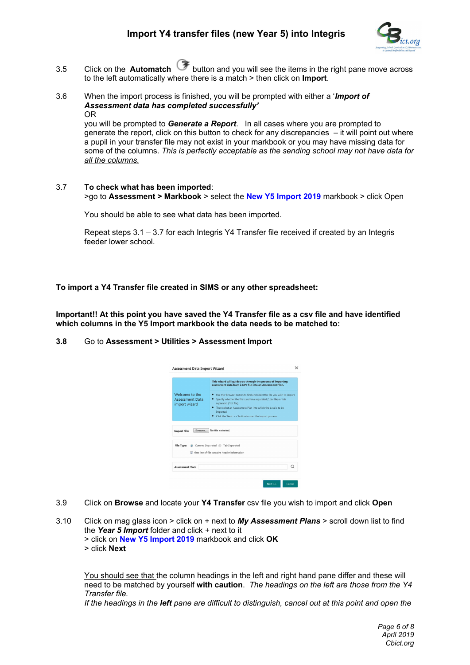

- 3.5 Click on the **Automatch** button and you will see the items in the right pane move across to the left automatically where there is a match > then click on **Import**.
- 3.6 When the import process is finished, you will be prompted with either a '*Import of Assessment data has completed successfully'* OR

you will be prompted to *Generate a Report*. In all cases where you are prompted to generate the report, click on this button to check for any discrepancies – it will point out where a pupil in your transfer file may not exist in your markbook or you may have missing data for some of the columns. *This is perfectly acceptable as the sending school may not have data for all the columns.*

3.7 **To check what has been imported**: >go to **Assessment > Markbook** > select the **New Y5 Import 2019** markbook > click Open

You should be able to see what data has been imported.

Repeat steps 3.1 – 3.7 for each Integris Y4 Transfer file received if created by an Integris feeder lower school.

**To import a Y4 Transfer file created in SIMS or any other spreadsheet:**

**Important!! At this point you have saved the Y4 Transfer file as a csv file and have identified which columns in the Y5 Import markbook the data needs to be matched to:** 

#### **3.8** Go to **Assessment > Utilities > Assessment Import**

|                                                           | This wizard will quide you through the process of importing<br>assessment data from a CSV file into an Assessment Plan.                                                   |
|-----------------------------------------------------------|---------------------------------------------------------------------------------------------------------------------------------------------------------------------------|
| Welcome to the<br><b>Assessment Data</b><br>import wizard | • Use the 'Browse' button to find and select the file you wish to import.<br>• Specify whether the file is comma separated (*.csv file) or tab<br>separated (*.txt file). |
|                                                           | . Then select an Assessment Plan into which the data is to be<br>imported.<br>Click the 'Next >>' button to start the import process.                                     |
| Browse<br><b>Import File:</b>                             | No file selected.                                                                                                                                                         |
|                                                           |                                                                                                                                                                           |
| File Type:                                                | Comma Separated (6) Tab Separated<br>First line of file contains header information                                                                                       |

- 3.9 Click on **Browse** and locate your **Y4 Transfer** csv file you wish to import and click **Open**
- 3.10 Click on mag glass icon > click on + next to *My Assessment Plans* > scroll down list to find the *Year 5 Import* folder and click + next to it > click on **New Y5 Import 2019** markbook and click **OK** > click **Next**

You should see that the column headings in the left and right hand pane differ and these will need to be matched by yourself **with caution**. *The headings on the left are those from the Y4 Transfer file.*

*If the headings in the left pane are difficult to distinguish, cancel out at this point and open the*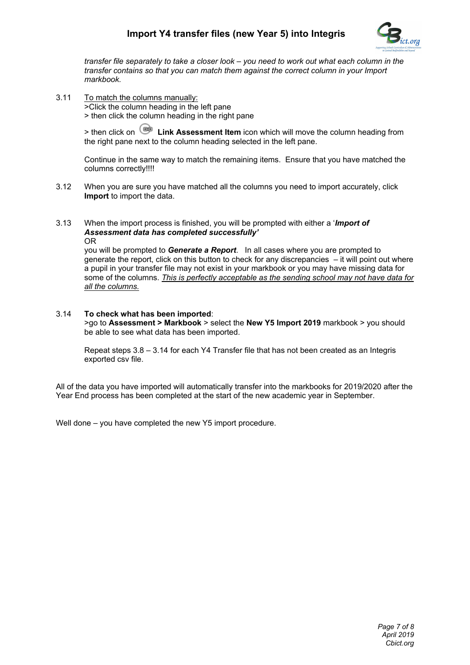# **Import Y4 transfer files (new Year 5) into Integris**



*transfer file separately to take a closer look – you need to work out what each column in the transfer contains so that you can match them against the correct column in your Import markbook.* 

3.11 To match the columns manually: >Click the column heading in the left pane

> then click the column heading in the right pane

> then click on **Link Assessment Item** icon which will move the column heading from the right pane next to the column heading selected in the left pane.

Continue in the same way to match the remaining items. Ensure that you have matched the columns correctly!!!!

- 3.12 When you are sure you have matched all the columns you need to import accurately, click **Import** to import the data.
- 3.13 When the import process is finished, you will be prompted with either a '*Import of Assessment data has completed successfully'* OR

you will be prompted to *Generate a Report*. In all cases where you are prompted to generate the report, click on this button to check for any discrepancies – it will point out where a pupil in your transfer file may not exist in your markbook or you may have missing data for some of the columns. *This is perfectly acceptable as the sending school may not have data for all the columns.*

#### 3.14 **To check what has been imported**: >go to **Assessment > Markbook** > select the **New Y5 Import 2019** markbook > you should be able to see what data has been imported.

Repeat steps 3.8 – 3.14 for each Y4 Transfer file that has not been created as an Integris exported csv file.

All of the data you have imported will automatically transfer into the markbooks for 2019/2020 after the Year End process has been completed at the start of the new academic year in September.

Well done – you have completed the new Y5 import procedure.